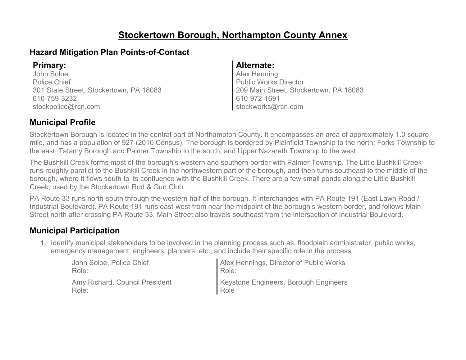# **Stockertown Borough, Northampton County Annex**

### **Hazard Mitigation Plan Points-of-Contact**

John Soloe Police Chief 301 State Street, Stockertown, PA 18083 610-759-3232 stockpolice@rcn.com

#### **Primary: Alternate:**

Alex Henning Public Works Director 209 Main Street, Stockertown, PA 18083 610-972-1691 stockworks@rcn.com

### **Municipal Profile**

Stockertown Borough is located in the central part of Northampton County. It encompasses an area of approximately 1.0 square mile, and has a population of 927 (2010 Census). The borough is bordered by Plainfield Township to the north; Forks Township to the east; Tatamy Borough and Palmer Township to the south; and Upper Nazareth Township to the west.

The Bushkill Creek forms most of the borough's western and southern border with Palmer Township. The Little Bushkill Creek runs roughly parallel to the Bushkill Creek in the northwestern part of the borough, and then turns southeast to the middle of the borough, where it flows south to its confluence with the Bushkill Creek. There are a few small ponds along the Little Bushkill Creek, used by the Stockertown Rod & Gun Club.

PA Route 33 runs north-south through the western half of the borough. It interchanges with PA Route 191 (East Lawn Road / Industrial Boulevard). PA Route 191 runs east-west from near the midpoint of the borough's western border, and follows Main Street north after crossing PA Route 33. Main Street also travels southeast from the intersection of Industrial Boulevard.

### **Municipal Participation**

1. Identify municipal stakeholders to be involved in the planning process such as, floodplain administrator, public works, emergency management, engineers, planners, etc., and include their specific role in the process.

| John Soloe, Police Chief       | Alex Hennings, Director of Public Works |
|--------------------------------|-----------------------------------------|
| Role:                          | Role:                                   |
| Amy Richard, Council President | Keystone Engineers, Borough Engineers   |
| Role:                          | Role                                    |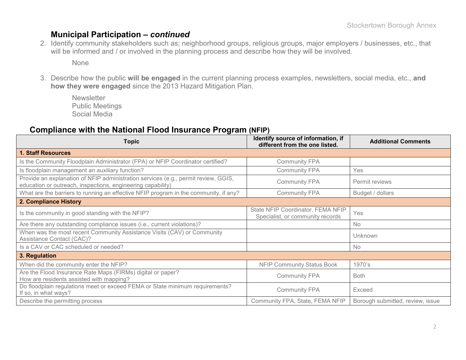### **Municipal Participation –** *continued*

2. Identify community stakeholders such as; neighborhood groups, religious groups, major employers / businesses, etc., that will be informed and / or involved in the planning process and describe how they will be involved.

None

3. Describe how the public **will be engaged** in the current planning process examples, newsletters, social media, etc., **and how they were engaged** since the 2013 Hazard Mitigation Plan.

**Newsletter** Public Meetings Social Media

#### **Compliance with the National Flood Insurance Program (NFIP)**

| <b>Topic</b>                                                                                                                                      | Identify source of information, if<br>different from the one listed.  | <b>Additional Comments</b>       |
|---------------------------------------------------------------------------------------------------------------------------------------------------|-----------------------------------------------------------------------|----------------------------------|
| 1. Staff Resources                                                                                                                                |                                                                       |                                  |
| Is the Community Floodplain Administrator (FPA) or NFIP Coordinator certified?                                                                    | <b>Community FPA</b>                                                  |                                  |
| Is floodplain management an auxiliary function?                                                                                                   | <b>Community FPA</b>                                                  | Yes                              |
| Provide an explanation of NFIP administration services (e.g., permit review, GGIS,<br>education or outreach, inspections, engineering capability) | <b>Community FPA</b>                                                  | Permit reviews                   |
| What are the barriers to running an effective NFIP program in the community, if any?                                                              | <b>Community FPA</b>                                                  | Budget / dollars                 |
| 2. Compliance History                                                                                                                             |                                                                       |                                  |
| Is the community in good standing with the NFIP?                                                                                                  | State NFIP Coordinator, FEMA NFIP<br>Specialist, or community records | Yes                              |
| Are there any outstanding compliance issues (i.e., current violations)?                                                                           |                                                                       | No                               |
| When was the most recent Community Assistance Visits (CAV) or Community<br>Assistance Contact (CAC)?                                              |                                                                       | Unknown                          |
| Is a CAV or CAC scheduled or needed?                                                                                                              |                                                                       | <b>No</b>                        |
| 3. Regulation                                                                                                                                     |                                                                       |                                  |
| When did the community enter the NFIP?                                                                                                            | <b>NFIP Community Status Book</b>                                     | 1970's                           |
| Are the Flood Insurance Rate Maps (FIRMs) digital or paper?<br>How are residents assisted with mapping?                                           | <b>Community FPA</b>                                                  | <b>Both</b>                      |
| Do floodplain regulations meet or exceed FEMA or State minimum requirements?<br>If so, in what ways?                                              | <b>Community FPA</b>                                                  | Exceed                           |
| Describe the permitting process                                                                                                                   | Community FPA, State, FEMA NFIP                                       | Borough submitted, review, issue |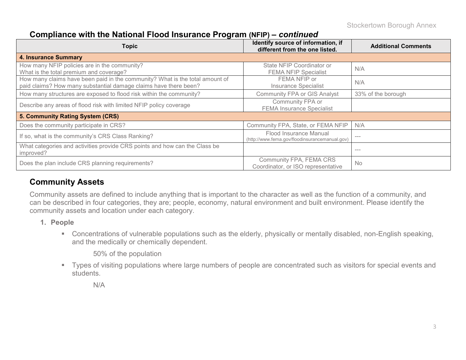Stockertown Borough Annex

### **Compliance with the National Flood Insurance Program (NFIP) –** *continued*

| Topic                                                                                                                                            | Identify source of information, if<br>different from the one listed.     | <b>Additional Comments</b> |
|--------------------------------------------------------------------------------------------------------------------------------------------------|--------------------------------------------------------------------------|----------------------------|
| <b>4. Insurance Summary</b>                                                                                                                      |                                                                          |                            |
| How many NFIP policies are in the community?<br>What is the total premium and coverage?                                                          | State NFIP Coordinator or<br><b>FEMA NFIP Specialist</b>                 | N/A                        |
| How many claims have been paid in the community? What is the total amount of<br>paid claims? How many substantial damage claims have there been? | FEMA NFIP or<br><b>Insurance Specialist</b>                              | N/A                        |
| How many structures are exposed to flood risk within the community?                                                                              | <b>Community FPA or GIS Analyst</b>                                      | 33% of the borough         |
| Describe any areas of flood risk with limited NFIP policy coverage                                                                               | Community FPA or<br><b>FEMA Insurance Specialist</b>                     |                            |
| 5. Community Rating System (CRS)                                                                                                                 |                                                                          |                            |
| Does the community participate in CRS?                                                                                                           | Community FPA, State, or FEMA NFIP                                       | N/A                        |
| If so, what is the community's CRS Class Ranking?                                                                                                | Flood Insurance Manual<br>(http://www.fema.gov/floodinsurancemanual.gov) | $- - -$                    |
| What categories and activities provide CRS points and how can the Class be<br>improved?                                                          |                                                                          | $- - -$                    |
| Does the plan include CRS planning requirements?                                                                                                 | Community FPA, FEMA CRS<br>Coordinator, or ISO representative            | <b>No</b>                  |

### **Community Assets**

Community assets are defined to include anything that is important to the character as well as the function of a community, and can be described in four categories, they are; people, economy, natural environment and built environment. Please identify the community assets and location under each category.

- **1. People**
	- Concentrations of vulnerable populations such as the elderly, physically or mentally disabled, non-English speaking, and the medically or chemically dependent.

50% of the population

 Types of visiting populations where large numbers of people are concentrated such as visitors for special events and students.

N/A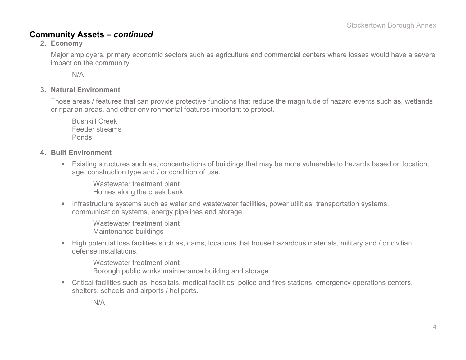### **Community Assets –** *continued*

#### **2. Economy**

Major employers, primary economic sectors such as agriculture and commercial centers where losses would have a severe impact on the community.

N/A

#### **3. Natural Environment**

Those areas / features that can provide protective functions that reduce the magnitude of hazard events such as, wetlands or riparian areas, and other environmental features important to protect.

Bushkill Creek Feeder streams Ponds

- **4. Built Environment**
	- Existing structures such as, concentrations of buildings that may be more vulnerable to hazards based on location, age, construction type and / or condition of use.

Wastewater treatment plant Homes along the creek bank

**Infrastructure systems such as water and wastewater facilities, power utilities, transportation systems,** communication systems, energy pipelines and storage.

Wastewater treatment plant Maintenance buildings

 High potential loss facilities such as, dams, locations that house hazardous materials, military and / or civilian defense installations.

Wastewater treatment plant Borough public works maintenance building and storage

 Critical facilities such as, hospitals, medical facilities, police and fires stations, emergency operations centers, shelters, schools and airports / heliports.

N/A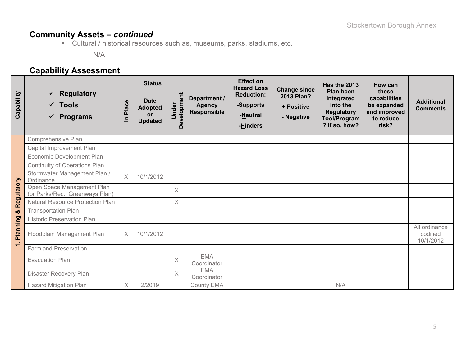# **Community Assets –** *continued*

Cultural / historical resources such as, museums, parks, stadiums, etc.

N/A

# **Capability Assessment**

|            |                                                               | <b>Status</b>  |                                                              |                         |                                              | <b>Effect on</b>                                                             |                                                               | Has the 2013                                                                                            | How can                                                                    |                                        |
|------------|---------------------------------------------------------------|----------------|--------------------------------------------------------------|-------------------------|----------------------------------------------|------------------------------------------------------------------------------|---------------------------------------------------------------|---------------------------------------------------------------------------------------------------------|----------------------------------------------------------------------------|----------------------------------------|
| Capability | <b>Regulatory</b><br>$\checkmark$ Tools<br><b>Programs</b>    | Place<br>르     | <b>Date</b><br><b>Adopted</b><br><b>or</b><br><b>Updated</b> | Development<br>Under    | Department /<br><b>Agency</b><br>Responsible | <b>Hazard Loss</b><br><b>Reduction:</b><br>-Supports<br>-Neutral<br>-Hinders | <b>Change since</b><br>2013 Plan?<br>+ Positive<br>- Negative | <b>Plan been</b><br>integrated<br>into the<br><b>Regulatory</b><br><b>Tool/Program</b><br>? If so, how? | these<br>capabilities<br>be expanded<br>and improved<br>to reduce<br>risk? | <b>Additional</b><br><b>Comments</b>   |
|            | Comprehensive Plan                                            |                |                                                              |                         |                                              |                                                                              |                                                               |                                                                                                         |                                                                            |                                        |
|            | Capital Improvement Plan                                      |                |                                                              |                         |                                              |                                                                              |                                                               |                                                                                                         |                                                                            |                                        |
|            | Economic Development Plan                                     |                |                                                              |                         |                                              |                                                                              |                                                               |                                                                                                         |                                                                            |                                        |
|            | Continuity of Operations Plan                                 |                |                                                              |                         |                                              |                                                                              |                                                               |                                                                                                         |                                                                            |                                        |
|            | Stormwater Management Plan /<br>Ordinance                     | $\overline{X}$ | 10/1/2012                                                    |                         |                                              |                                                                              |                                                               |                                                                                                         |                                                                            |                                        |
| Regulatory | Open Space Management Plan<br>(or Parks/Rec., Greenways Plan) |                |                                                              | $\times$                |                                              |                                                                              |                                                               |                                                                                                         |                                                                            |                                        |
|            | <b>Natural Resource Protection Plan</b>                       |                |                                                              | $\overline{\mathsf{X}}$ |                                              |                                                                              |                                                               |                                                                                                         |                                                                            |                                        |
| ×          | <b>Transportation Plan</b>                                    |                |                                                              |                         |                                              |                                                                              |                                                               |                                                                                                         |                                                                            |                                        |
|            | <b>Historic Preservation Plan</b>                             |                |                                                              |                         |                                              |                                                                              |                                                               |                                                                                                         |                                                                            |                                        |
| Planning   | Floodplain Management Plan                                    | $\times$       | 10/1/2012                                                    |                         |                                              |                                                                              |                                                               |                                                                                                         |                                                                            | All ordinance<br>codified<br>10/1/2012 |
| $\div$     | <b>Farmland Preservation</b>                                  |                |                                                              |                         |                                              |                                                                              |                                                               |                                                                                                         |                                                                            |                                        |
|            | <b>Evacuation Plan</b>                                        |                |                                                              | X                       | <b>EMA</b><br>Coordinator                    |                                                                              |                                                               |                                                                                                         |                                                                            |                                        |
|            | Disaster Recovery Plan                                        |                |                                                              | $\times$                | <b>EMA</b><br>Coordinator                    |                                                                              |                                                               |                                                                                                         |                                                                            |                                        |
|            | <b>Hazard Mitigation Plan</b>                                 | X              | 2/2019                                                       |                         | County EMA                                   |                                                                              |                                                               | N/A                                                                                                     |                                                                            |                                        |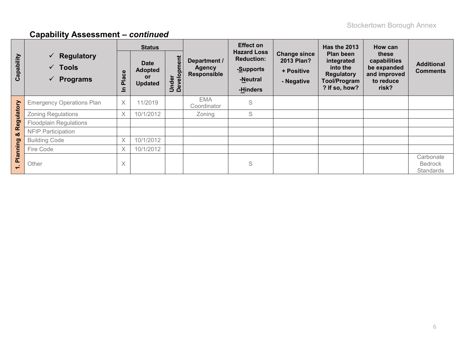# **Capability Assessment –** *continued*

|                                                        | <b>Status</b>                                                                    |            |                                                              | <b>Effect on</b>     |                                              | Has the 2013                                                                 | How can                                                              |                                                                                                  |                                                                            |                                                 |
|--------------------------------------------------------|----------------------------------------------------------------------------------|------------|--------------------------------------------------------------|----------------------|----------------------------------------------|------------------------------------------------------------------------------|----------------------------------------------------------------------|--------------------------------------------------------------------------------------------------|----------------------------------------------------------------------------|-------------------------------------------------|
| Capability                                             | $\checkmark$ Regulatory<br>$\checkmark$ Tools<br><b>Programs</b><br>$\checkmark$ | Place<br>드 | <b>Date</b><br><b>Adopted</b><br><b>or</b><br><b>Updated</b> | Under<br>Development | Department /<br><b>Agency</b><br>Responsible | <b>Hazard Loss</b><br><b>Reduction:</b><br>-Supports<br>-Neutral<br>-Hinders | <b>Change since</b><br><b>2013 Plan?</b><br>+ Positive<br>- Negative | <b>Plan been</b><br>integrated<br>into the<br><b>Regulatory</b><br>Tool/Program<br>? If so, how? | these<br>capabilities<br>be expanded<br>and improved<br>to reduce<br>risk? | <b>Additional</b><br><b>Comments</b>            |
| ulatory                                                | <b>Emergency Operations Plan</b>                                                 | X          | 11/2019                                                      |                      | <b>EMA</b><br>Coordinator                    | S                                                                            |                                                                      |                                                                                                  |                                                                            |                                                 |
|                                                        | <b>Zoning Regulations</b>                                                        | X          | 10/1/2012                                                    |                      | Zoning                                       | S                                                                            |                                                                      |                                                                                                  |                                                                            |                                                 |
| စ္စာ                                                   | <b>Floodplain Regulations</b>                                                    |            |                                                              |                      |                                              |                                                                              |                                                                      |                                                                                                  |                                                                            |                                                 |
| œ<br>οö                                                | <b>NFIP Participation</b>                                                        |            |                                                              |                      |                                              |                                                                              |                                                                      |                                                                                                  |                                                                            |                                                 |
|                                                        | <b>Building Code</b>                                                             | $\chi$     | 10/1/2012                                                    |                      |                                              |                                                                              |                                                                      |                                                                                                  |                                                                            |                                                 |
|                                                        | Fire Code                                                                        | X          | 10/1/2012                                                    |                      |                                              |                                                                              |                                                                      |                                                                                                  |                                                                            |                                                 |
| Planning<br>$\blacksquare$<br>$\overline{\phantom{0}}$ | Other                                                                            | $\times$   |                                                              |                      |                                              | S                                                                            |                                                                      |                                                                                                  |                                                                            | Carbonate<br><b>Bedrock</b><br><b>Standards</b> |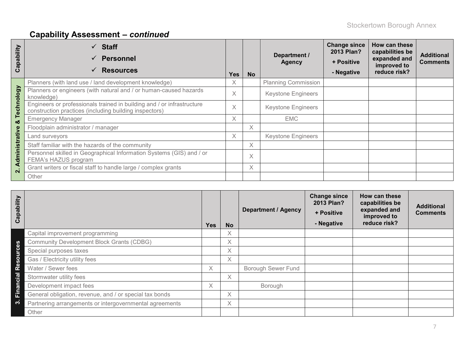# **Capability Assessment –** *continued*

| ability<br>ap<br>ပ      | $\checkmark$ Staff<br><b>Personnel</b><br>$\checkmark$<br><b>Resources</b><br>$\checkmark$                                       | <b>Yes</b> | <b>No</b> | Department /<br><b>Agency</b> | <b>Change since</b><br>2013 Plan?<br>+ Positive<br>- Negative | How can these<br>capabilities be<br>expanded and<br>improved to<br>reduce risk? | <b>Additional</b><br><b>Comments</b> |
|-------------------------|----------------------------------------------------------------------------------------------------------------------------------|------------|-----------|-------------------------------|---------------------------------------------------------------|---------------------------------------------------------------------------------|--------------------------------------|
|                         | Planners (with land use / land development knowledge)                                                                            | X          |           | <b>Planning Commission</b>    |                                                               |                                                                                 |                                      |
|                         | Planners or engineers (with natural and / or human-caused hazards<br>knowledge)                                                  | $\times$   |           | <b>Keystone Engineers</b>     |                                                               |                                                                                 |                                      |
| Technology              | Engineers or professionals trained in building and / or infrastructure<br>construction practices (including building inspectors) | X          |           | <b>Keystone Engineers</b>     |                                                               |                                                                                 |                                      |
| ×ŏ                      | <b>Emergency Manager</b>                                                                                                         |            |           | <b>EMC</b>                    |                                                               |                                                                                 |                                      |
|                         | Floodplain administrator / manager                                                                                               |            | $\times$  |                               |                                                               |                                                                                 |                                      |
|                         | Land surveyors                                                                                                                   | X          |           | <b>Keystone Engineers</b>     |                                                               |                                                                                 |                                      |
|                         | Staff familiar with the hazards of the community                                                                                 |            | $\times$  |                               |                                                               |                                                                                 |                                      |
| Administrative          | Personnel skilled in Geographical Information Systems (GIS) and / or<br>FEMA's HAZUS program                                     |            | $\times$  |                               |                                                               |                                                                                 |                                      |
| $\overline{\mathbf{N}}$ | Grant writers or fiscal staff to handle large / complex grants                                                                   |            | $\times$  |                               |                                                               |                                                                                 |                                      |
|                         | Other                                                                                                                            |            |           |                               |                                                               |                                                                                 |                                      |

| Capability           |                                                         | <b>Yes</b> | <b>No</b> | <b>Department / Agency</b> | <b>Change since</b><br>2013 Plan?<br>+ Positive<br>- Negative | How can these<br>capabilities be<br>expanded and<br>improved to<br>reduce risk? | <b>Additional</b><br><b>Comments</b> |
|----------------------|---------------------------------------------------------|------------|-----------|----------------------------|---------------------------------------------------------------|---------------------------------------------------------------------------------|--------------------------------------|
|                      | Capital improvement programming                         |            | $\times$  |                            |                                                               |                                                                                 |                                      |
| 89                   | <b>Community Development Block Grants (CDBG)</b>        |            | $\times$  |                            |                                                               |                                                                                 |                                      |
| <u>p</u>             | Special purposes taxes                                  |            | Χ         |                            |                                                               |                                                                                 |                                      |
| $\circ$<br><b>SC</b> | Gas / Electricity utility fees                          |            | X         |                            |                                                               |                                                                                 |                                      |
| ድ<br>ድ               | Water / Sewer fees                                      | X          |           | <b>Borough Sewer Fund</b>  |                                                               |                                                                                 |                                      |
| cial                 | Stormwater utility fees                                 |            | X         |                            |                                                               |                                                                                 |                                      |
| Finan                | Development impact fees                                 | X          |           | Borough                    |                                                               |                                                                                 |                                      |
|                      | General obligation, revenue, and / or special tax bonds |            | Χ         |                            |                                                               |                                                                                 |                                      |
| ო                    | Partnering arrangements or intergovernmental agreements |            | X         |                            |                                                               |                                                                                 |                                      |
|                      | Other                                                   |            |           |                            |                                                               |                                                                                 |                                      |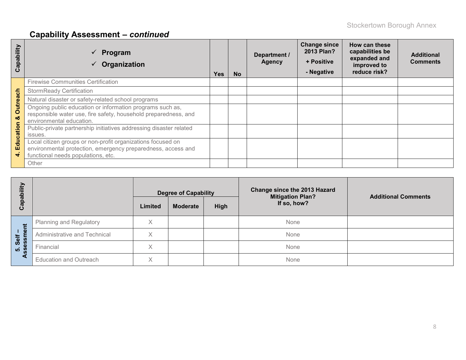# **Capability Assessment –** *continued*

| Capability            | Program<br>Organization                                                                                                                                           | Yes. | <b>No</b> | Department /<br><b>Agency</b> | <b>Change since</b><br>2013 Plan?<br>+ Positive<br>- Negative | How can these<br>capabilities be<br>expanded and<br>improved to<br>reduce risk? | <b>Additional</b><br><b>Comments</b> |
|-----------------------|-------------------------------------------------------------------------------------------------------------------------------------------------------------------|------|-----------|-------------------------------|---------------------------------------------------------------|---------------------------------------------------------------------------------|--------------------------------------|
|                       | <b>Firewise Communities Certification</b>                                                                                                                         |      |           |                               |                                                               |                                                                                 |                                      |
|                       | <b>StormReady Certification</b>                                                                                                                                   |      |           |                               |                                                               |                                                                                 |                                      |
|                       | Natural disaster or safety-related school programs                                                                                                                |      |           |                               |                                                               |                                                                                 |                                      |
| <b>Outreach</b><br>ಂಶ | Ongoing public education or information programs such as,<br>responsible water use, fire safety, household preparedness, and<br>environmental education.          |      |           |                               |                                                               |                                                                                 |                                      |
| Education             | Public-private partnership initiatives addressing disaster related<br>issues.                                                                                     |      |           |                               |                                                               |                                                                                 |                                      |
| 4                     | Local citizen groups or non-profit organizations focused on<br>environmental protection, emergency preparedness, access and<br>functional needs populations, etc. |      |           |                               |                                                               |                                                                                 |                                      |
|                       | Other                                                                                                                                                             |      |           |                               |                                                               |                                                                                 |                                      |

| Ë<br>$\mathbf{\Omega}$           |                                |         | <b>Degree of Capability</b> |      | <b>Change since the 2013 Hazard</b><br><b>Mitigation Plan?</b> | <b>Additional Comments</b> |  |
|----------------------------------|--------------------------------|---------|-----------------------------|------|----------------------------------------------------------------|----------------------------|--|
| $\Omega$<br>ōي                   |                                | Limited | Moderate                    | High | If so, how?                                                    |                            |  |
| Ĕ                                | <b>Planning and Regulatory</b> | X       |                             |      | None                                                           |                            |  |
| $\bar{\mathsf{e}}$<br>生          | Administrative and Technical   | Χ       |                             |      | None                                                           |                            |  |
| <b>Go</b><br><b>isessi</b><br>ທ່ | Financial                      | X       |                             |      | None                                                           |                            |  |
|                                  | <b>Education and Outreach</b>  | X       |                             |      | None                                                           |                            |  |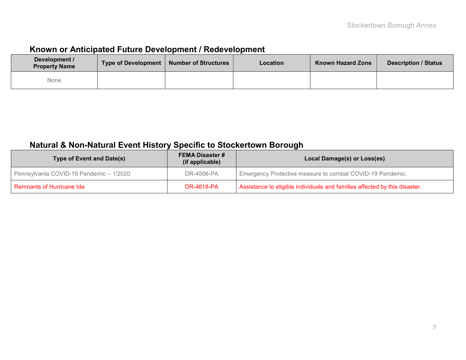## **Known or Anticipated Future Development / Redevelopment**

| Development /<br><b>Property Name</b> | <b>Type of Development</b> | <b>Number of Structures</b> | Location | <b>Known Hazard Zone</b> | <b>Description / Status</b> |
|---------------------------------------|----------------------------|-----------------------------|----------|--------------------------|-----------------------------|
| None                                  |                            |                             |          |                          |                             |

## **Natural & Non-Natural Event History Specific to Stockertown Borough**

| <b>Type of Event and Date(s)</b>        | <b>FEMA Disaster #</b><br>(if applicable) | Local Damage(s) or Loss(es)                                                |
|-----------------------------------------|-------------------------------------------|----------------------------------------------------------------------------|
| Pennsylvania COVID-19 Pandemic - 1/2020 | DR-4506-PA                                | Emergency Protective measure to combat COVID-19 Pandemic.                  |
| l Remnants of Hurricane Ida             | <b>DR-4618-PA</b>                         | Assistance to eligible individuals and families affected by this disaster. |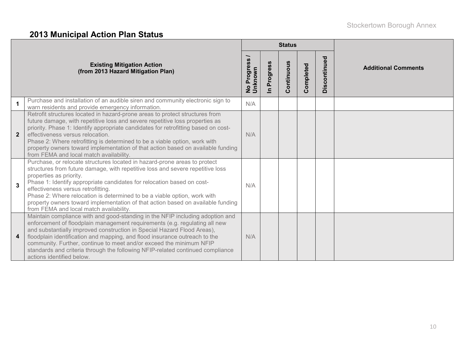# **2013 Municipal Action Plan Status**

|                  |                                                                                                                                                                                                                                                                                                                                                                                                                                                                                                                  |                        |                            | <b>Status</b> |           |              |                            |
|------------------|------------------------------------------------------------------------------------------------------------------------------------------------------------------------------------------------------------------------------------------------------------------------------------------------------------------------------------------------------------------------------------------------------------------------------------------------------------------------------------------------------------------|------------------------|----------------------------|---------------|-----------|--------------|----------------------------|
|                  | <b>Existing Mitigation Action</b><br>(from 2013 Hazard Mitigation Plan)                                                                                                                                                                                                                                                                                                                                                                                                                                          | No Progress<br>Unknown | Progress<br>$\blacksquare$ | Continuous    | Completed | Discontinued | <b>Additional Comments</b> |
|                  | Purchase and installation of an audible siren and community electronic sign to<br>warn residents and provide emergency information.                                                                                                                                                                                                                                                                                                                                                                              | N/A                    |                            |               |           |              |                            |
| $\overline{2}$   | Retrofit structures located in hazard-prone areas to protect structures from<br>future damage, with repetitive loss and severe repetitive loss properties as<br>priority. Phase 1: Identify appropriate candidates for retrofitting based on cost-<br>effectiveness versus relocation.<br>Phase 2: Where retrofitting is determined to be a viable option, work with<br>property owners toward implementation of that action based on available funding<br>from FEMA and local match availability.               | N/A                    |                            |               |           |              |                            |
| $\overline{3}$   | Purchase, or relocate structures located in hazard-prone areas to protect<br>structures from future damage, with repetitive loss and severe repetitive loss<br>properties as priority.<br>Phase 1: Identify appropriate candidates for relocation based on cost-<br>effectiveness versus retrofitting.<br>Phase 2: Where relocation is determined to be a viable option, work with<br>property owners toward implementation of that action based on available funding<br>from FEMA and local match availability. | N/A                    |                            |               |           |              |                            |
| $\boldsymbol{4}$ | Maintain compliance with and good-standing in the NFIP including adoption and<br>enforcement of floodplain management requirements (e.g. regulating all new<br>and substantially improved construction in Special Hazard Flood Areas),<br>floodplain identification and mapping, and flood insurance outreach to the<br>community. Further, continue to meet and/or exceed the minimum NFIP<br>standards and criteria through the following NFIP-related continued compliance<br>actions identified below.       | N/A                    |                            |               |           |              |                            |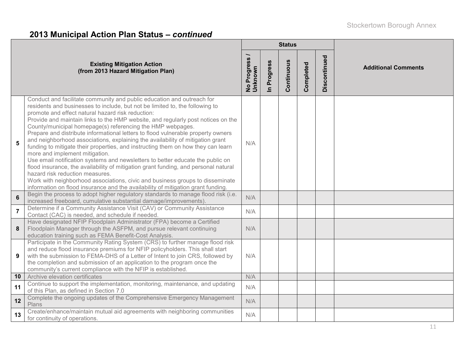# **2013 Municipal Action Plan Status –** *continued*

|                 |                                                                                                                                                                                                                                                                                                                                                                                                                                                                                                                                                                                                                                                                                                                                                                                                                                                                                                                                                                                                                                            |                          |                      | <b>Status</b> |           |              |                            |  |  |
|-----------------|--------------------------------------------------------------------------------------------------------------------------------------------------------------------------------------------------------------------------------------------------------------------------------------------------------------------------------------------------------------------------------------------------------------------------------------------------------------------------------------------------------------------------------------------------------------------------------------------------------------------------------------------------------------------------------------------------------------------------------------------------------------------------------------------------------------------------------------------------------------------------------------------------------------------------------------------------------------------------------------------------------------------------------------------|--------------------------|----------------------|---------------|-----------|--------------|----------------------------|--|--|
|                 | <b>Existing Mitigation Action</b><br>(from 2013 Hazard Mitigation Plan)                                                                                                                                                                                                                                                                                                                                                                                                                                                                                                                                                                                                                                                                                                                                                                                                                                                                                                                                                                    | No Progress /<br>Unknown | Progress<br>$\equiv$ | Continuous    | Completed | Discontinued | <b>Additional Comments</b> |  |  |
| 5               | Conduct and facilitate community and public education and outreach for<br>residents and businesses to include, but not be limited to, the following to<br>promote and effect natural hazard risk reduction:<br>Provide and maintain links to the HMP website, and regularly post notices on the<br>County/municipal homepage(s) referencing the HMP webpages.<br>Prepare and distribute informational letters to flood vulnerable property owners<br>and neighborhood associations, explaining the availability of mitigation grant<br>funding to mitigate their properties, and instructing them on how they can learn<br>more and implement mitigation.<br>Use email notification systems and newsletters to better educate the public on<br>flood insurance, the availability of mitigation grant funding, and personal natural<br>hazard risk reduction measures.<br>Work with neighborhood associations, civic and business groups to disseminate<br>information on flood insurance and the availability of mitigation grant funding. | N/A                      |                      |               |           |              |                            |  |  |
| $6\phantom{a}$  | Begin the process to adopt higher regulatory standards to manage flood risk (i.e.<br>increased freeboard, cumulative substantial damage/improvements)                                                                                                                                                                                                                                                                                                                                                                                                                                                                                                                                                                                                                                                                                                                                                                                                                                                                                      | N/A                      |                      |               |           |              |                            |  |  |
| $\overline{7}$  | Determine if a Community Assistance Visit (CAV) or Community Assistance<br>Contact (CAC) is needed, and schedule if needed.                                                                                                                                                                                                                                                                                                                                                                                                                                                                                                                                                                                                                                                                                                                                                                                                                                                                                                                | N/A                      |                      |               |           |              |                            |  |  |
| 8               | Have designated NFIP Floodplain Administrator (FPA) become a Certified<br>Floodplain Manager through the ASFPM, and pursue relevant continuing<br>education training such as FEMA Benefit-Cost Analysis.                                                                                                                                                                                                                                                                                                                                                                                                                                                                                                                                                                                                                                                                                                                                                                                                                                   | N/A                      |                      |               |           |              |                            |  |  |
| 9               | Participate in the Community Rating System (CRS) to further manage flood risk<br>and reduce flood insurance premiums for NFIP policyholders. This shall start<br>with the submission to FEMA-DHS of a Letter of Intent to join CRS, followed by<br>the completion and submission of an application to the program once the<br>community's current compliance with the NFIP is established.                                                                                                                                                                                                                                                                                                                                                                                                                                                                                                                                                                                                                                                 | N/A                      |                      |               |           |              |                            |  |  |
| 10 <sup>°</sup> | Archive elevation certificates                                                                                                                                                                                                                                                                                                                                                                                                                                                                                                                                                                                                                                                                                                                                                                                                                                                                                                                                                                                                             | N/A                      |                      |               |           |              |                            |  |  |
| 11              | Continue to support the implementation, monitoring, maintenance, and updating<br>of this Plan, as defined in Section 7.0                                                                                                                                                                                                                                                                                                                                                                                                                                                                                                                                                                                                                                                                                                                                                                                                                                                                                                                   | N/A                      |                      |               |           |              |                            |  |  |
| 12              | Complete the ongoing updates of the Comprehensive Emergency Management<br>Plans                                                                                                                                                                                                                                                                                                                                                                                                                                                                                                                                                                                                                                                                                                                                                                                                                                                                                                                                                            | N/A                      |                      |               |           |              |                            |  |  |
| 13              | Create/enhance/maintain mutual aid agreements with neighboring communities<br>for continuity of operations.                                                                                                                                                                                                                                                                                                                                                                                                                                                                                                                                                                                                                                                                                                                                                                                                                                                                                                                                | N/A                      |                      |               |           |              |                            |  |  |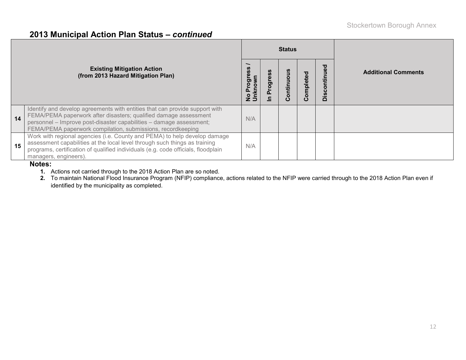#### **2013 Municipal Action Plan Status –** *continued*

|                                                                         |                                                                                                                                                                                                                                                                                       |     |  | <b>Status</b>         |              |                                        |                            |  |  |
|-------------------------------------------------------------------------|---------------------------------------------------------------------------------------------------------------------------------------------------------------------------------------------------------------------------------------------------------------------------------------|-----|--|-----------------------|--------------|----------------------------------------|----------------------------|--|--|
| <b>Existing Mitigation Action</b><br>(from 2013 Hazard Mitigation Plan) |                                                                                                                                                                                                                                                                                       |     |  | ontinu<br>$\mathbf C$ | ъ<br>omplete | ਠ<br>ω<br>ontin<br>ပ<br><u>.ળ</u><br>≏ | <b>Additional Comments</b> |  |  |
| 14                                                                      | Identify and develop agreements with entities that can provide support with<br>FEMA/PEMA paperwork after disasters; qualified damage assessment<br>personnel - Improve post-disaster capabilities - damage assessment;<br>FEMA/PEMA paperwork compilation, submissions, recordkeeping | N/A |  |                       |              |                                        |                            |  |  |
| 15                                                                      | Work with regional agencies (i.e. County and PEMA) to help develop damage<br>assessment capabilities at the local level through such things as training<br>programs, certification of qualified individuals (e.g. code officials, floodplain<br>managers, engineers).                 | N/A |  |                       |              |                                        |                            |  |  |

#### **Notes:**

**1.** Actions not carried through to the 2018 Action Plan are so noted.

**2.** To maintain National Flood Insurance Program (NFIP) compliance, actions related to the NFIP were carried through to the 2018 Action Plan even if identified by the municipality as completed.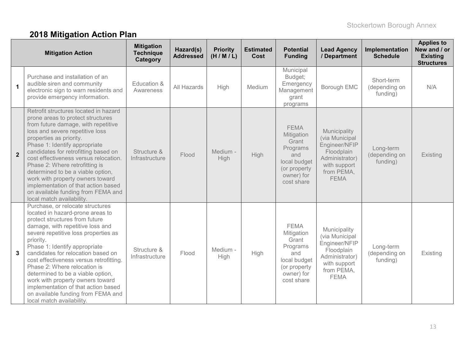# **2018 Mitigation Action Plan**

|                | <b>Mitigation Action</b>                                                                                                                                                                                                                                                                                                                                                                                                                                                                                                             | <b>Mitigation</b><br><b>Technique</b><br>Category | Hazard(s)<br><b>Addressed</b> | <b>Priority</b><br>(H/M/L) | <b>Estimated</b><br>Cost | <b>Potential</b><br><b>Funding</b>                                                                                | <b>Lead Agency</b><br>/ Department                                                                                           | Implementation<br><b>Schedule</b>       | <b>Applies to</b><br>New and / or<br><b>Existing</b><br><b>Structures</b> |
|----------------|--------------------------------------------------------------------------------------------------------------------------------------------------------------------------------------------------------------------------------------------------------------------------------------------------------------------------------------------------------------------------------------------------------------------------------------------------------------------------------------------------------------------------------------|---------------------------------------------------|-------------------------------|----------------------------|--------------------------|-------------------------------------------------------------------------------------------------------------------|------------------------------------------------------------------------------------------------------------------------------|-----------------------------------------|---------------------------------------------------------------------------|
| $\mathbf{1}$   | Purchase and installation of an<br>audible siren and community<br>electronic sign to warn residents and<br>provide emergency information.                                                                                                                                                                                                                                                                                                                                                                                            | Education &<br>Awareness                          | All Hazards                   | High                       | Medium                   | Municipal<br>Budget;<br>Emergency<br>Management<br>grant<br>programs                                              | Borough EMC                                                                                                                  | Short-term<br>(depending on<br>funding) | N/A                                                                       |
| $\overline{2}$ | Retrofit structures located in hazard<br>prone areas to protect structures<br>from future damage, with repetitive<br>loss and severe repetitive loss<br>properties as priority.<br>Phase 1: Identify appropriate<br>candidates for retrofitting based on<br>cost effectiveness versus relocation.<br>Phase 2: Where retrofitting is<br>determined to be a viable option,<br>work with property owners toward<br>implementation of that action based<br>on available funding from FEMA and<br>local match availability.               | Structure &<br>Infrastructure                     | Flood                         | Medium -<br>High           | <b>High</b>              | <b>FEMA</b><br>Mitigation<br>Grant<br>Programs<br>and<br>local budget<br>(or property<br>owner) for<br>cost share | Municipality<br>(via Municipal<br>Engineer/NFIP<br>Floodplain<br>Administrator)<br>with support<br>from PEMA,<br><b>FEMA</b> | Long-term<br>(depending on<br>funding)  | Existing                                                                  |
| $\mathbf{3}$   | Purchase, or relocate structures<br>located in hazard-prone areas to<br>protect structures from future<br>damage, with repetitive loss and<br>severe repetitive loss properties as<br>priority.<br>Phase 1: Identify appropriate<br>candidates for relocation based on<br>cost effectiveness versus retrofitting.<br>Phase 2: Where relocation is<br>determined to be a viable option,<br>work with property owners toward<br>implementation of that action based<br>on available funding from FEMA and<br>local match availability. | Structure &<br>Infrastructure                     | Flood                         | Medium -<br>High           | High                     | <b>FEMA</b><br>Mitigation<br>Grant<br>Programs<br>and<br>local budget<br>(or property<br>owner) for<br>cost share | Municipality<br>(via Municipal<br>Engineer/NFIP<br>Floodplain<br>Administrator)<br>with support<br>from PEMA,<br><b>FEMA</b> | Long-term<br>(depending on<br>funding)  | Existing                                                                  |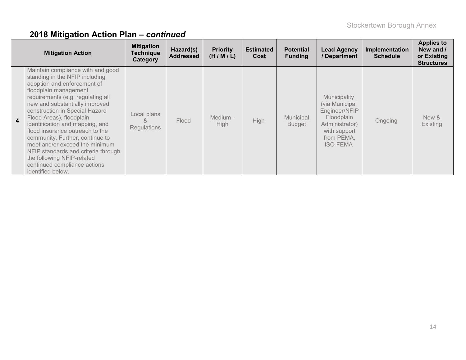|                         | <b>Mitigation Action</b>                                                                                                                                                                                                                                                                                                                                                                                                                                                                                                              | <b>Mitigation</b><br><b>Technique</b><br>Category | Hazard(s)<br><b>Addressed</b> | <b>Priority</b><br>(H/M/L) | <b>Estimated</b><br>Cost | <b>Potential</b><br><b>Funding</b> | <b>Lead Agency</b><br>/ Department                                                                                               | Implementation<br><b>Schedule</b> | <b>Applies to</b><br>New and /<br>or Existing<br><b>Structures</b> |
|-------------------------|---------------------------------------------------------------------------------------------------------------------------------------------------------------------------------------------------------------------------------------------------------------------------------------------------------------------------------------------------------------------------------------------------------------------------------------------------------------------------------------------------------------------------------------|---------------------------------------------------|-------------------------------|----------------------------|--------------------------|------------------------------------|----------------------------------------------------------------------------------------------------------------------------------|-----------------------------------|--------------------------------------------------------------------|
| $\overline{\mathbf{4}}$ | Maintain compliance with and good<br>standing in the NFIP including<br>adoption and enforcement of<br>floodplain management<br>requirements (e.g. regulating all<br>new and substantially improved<br>construction in Special Hazard<br>Flood Areas), floodplain<br>identification and mapping, and<br>flood insurance outreach to the<br>community. Further, continue to<br>meet and/or exceed the minimum<br>NFIP standards and criteria through<br>the following NFIP-related<br>continued compliance actions<br>identified below. | Local plans<br><sub>R</sub><br><b>Regulations</b> | Flood                         | Medium -<br><b>High</b>    | <b>High</b>              | Municipal<br><b>Budget</b>         | Municipality<br>(via Municipal<br>Engineer/NFIP<br>Floodplain<br>Administrator)<br>with support<br>from PEMA.<br><b>ISO FEMA</b> | Ongoing                           | New &<br>Existing                                                  |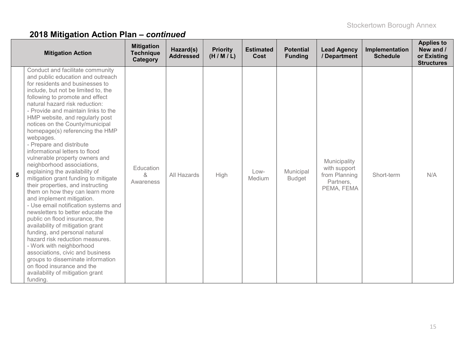|   | <b>Mitigation Action</b>                                                                                                                                                                                                                                                                                                                                                                                                                                                                                                                                                                                                                                                                                                                                                                                                                                                                                                                                                                                                                                                                                 | <b>Mitigation</b><br><b>Technique</b><br>Category | Hazard(s)<br><b>Addressed</b> | <b>Priority</b><br>(H/M/L) | <b>Estimated</b><br>Cost | <b>Potential</b><br><b>Funding</b> | <b>Lead Agency</b><br>/ Department                                       | Implementation<br><b>Schedule</b> | <b>Applies to</b><br>New and /<br>or Existing<br><b>Structures</b> |
|---|----------------------------------------------------------------------------------------------------------------------------------------------------------------------------------------------------------------------------------------------------------------------------------------------------------------------------------------------------------------------------------------------------------------------------------------------------------------------------------------------------------------------------------------------------------------------------------------------------------------------------------------------------------------------------------------------------------------------------------------------------------------------------------------------------------------------------------------------------------------------------------------------------------------------------------------------------------------------------------------------------------------------------------------------------------------------------------------------------------|---------------------------------------------------|-------------------------------|----------------------------|--------------------------|------------------------------------|--------------------------------------------------------------------------|-----------------------------------|--------------------------------------------------------------------|
| 5 | Conduct and facilitate community<br>and public education and outreach<br>for residents and businesses to<br>include, but not be limited to, the<br>following to promote and effect<br>natural hazard risk reduction:<br>- Provide and maintain links to the<br>HMP website, and regularly post<br>notices on the County/municipal<br>homepage(s) referencing the HMP<br>webpages.<br>- Prepare and distribute<br>informational letters to flood<br>vulnerable property owners and<br>neighborhood associations,<br>explaining the availability of<br>mitigation grant funding to mitigate<br>their properties, and instructing<br>them on how they can learn more<br>and implement mitigation.<br>- Use email notification systems and<br>newsletters to better educate the<br>public on flood insurance, the<br>availability of mitigation grant<br>funding, and personal natural<br>hazard risk reduction measures.<br>- Work with neighborhood<br>associations, civic and business<br>groups to disseminate information<br>on flood insurance and the<br>availability of mitigation grant<br>funding. | Education<br>&<br>Awareness                       | All Hazards                   | High                       | Low-<br>Medium           | Municipal<br><b>Budget</b>         | Municipality<br>with support<br>from Planning<br>Partners,<br>PEMA, FEMA | Short-term                        | N/A                                                                |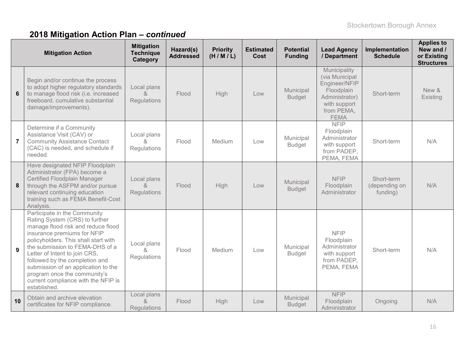|                | <b>Mitigation Action</b>                                                                                                                                                                                                                                                                                                                                                                                        | <b>Mitigation</b><br><b>Technique</b><br>Category | Hazard(s)<br><b>Addressed</b> | <b>Priority</b><br>(H/M/L) | <b>Estimated</b><br>Cost | <b>Potential</b><br><b>Funding</b> | <b>Lead Agency</b><br>/ Department                                                                                           | Implementation<br><b>Schedule</b>       | <b>Applies to</b><br>New and /<br>or Existing<br><b>Structures</b> |
|----------------|-----------------------------------------------------------------------------------------------------------------------------------------------------------------------------------------------------------------------------------------------------------------------------------------------------------------------------------------------------------------------------------------------------------------|---------------------------------------------------|-------------------------------|----------------------------|--------------------------|------------------------------------|------------------------------------------------------------------------------------------------------------------------------|-----------------------------------------|--------------------------------------------------------------------|
| $6\phantom{a}$ | Begin and/or continue the process<br>to adopt higher regulatory standards<br>to manage flood risk (i.e. increased<br>freeboard, cumulative substantial<br>damage/improvements).                                                                                                                                                                                                                                 | Local plans<br>$\alpha$<br>Regulations            | Flood                         | High                       | Low                      | Municipal<br><b>Budget</b>         | Municipality<br>(via Municipal<br>Engineer/NFIP<br>Floodplain<br>Administrator)<br>with support<br>from PEMA,<br><b>FEMA</b> | Short-term                              | New &<br>Existing                                                  |
| $\overline{7}$ | Determine if a Community<br>Assistance Visit (CAV) or<br><b>Community Assistance Contact</b><br>(CAC) is needed, and schedule if<br>needed.                                                                                                                                                                                                                                                                     | Local plans<br>&<br>Regulations                   | Flood                         | Medium                     | Low                      | Municipal<br><b>Budget</b>         | <b>NFIP</b><br>Floodplain<br>Administrator<br>with support<br>from PADEP,<br>PEMA, FEMA                                      | Short-term                              | N/A                                                                |
| 8              | Have designated NFIP Floodplain<br>Administrator (FPA) become a<br>Certified Floodplain Manager<br>through the ASFPM and/or pursue<br>relevant continuing education<br>training such as FEMA Benefit-Cost<br>Analysis.                                                                                                                                                                                          | Local plans<br>&<br>Regulations                   | Flood                         | High                       | Low                      | Municipal<br><b>Budget</b>         | <b>NFIP</b><br>Floodplain<br>Administrator                                                                                   | Short-term<br>(depending on<br>funding) | N/A                                                                |
| 9              | Participate in the Community<br>Rating System (CRS) to further<br>manage flood risk and reduce flood<br>insurance premiums for NFIP<br>policyholders. This shall start with<br>the submission to FEMA-DHS of a<br>Letter of Intent to join CRS,<br>followed by the completion and<br>submission of an application to the<br>program once the community's<br>current compliance with the NFIP is<br>established. | Local plans<br>&<br>Regulations                   | Flood                         | Medium                     | Low                      | Municipal<br><b>Budget</b>         | <b>NFIP</b><br>Floodplain<br>Administrator<br>with support<br>from PADEP,<br>PEMA, FEMA                                      | Short-term                              | N/A                                                                |
| 10             | Obtain and archive elevation<br>certificates for NFIP compliance.                                                                                                                                                                                                                                                                                                                                               | Local plans<br>$\alpha$<br><b>Regulations</b>     | Flood                         | High                       | Low                      | Municipal<br><b>Budget</b>         | <b>NFIP</b><br>Floodplain<br>Administrator                                                                                   | Ongoing                                 | N/A                                                                |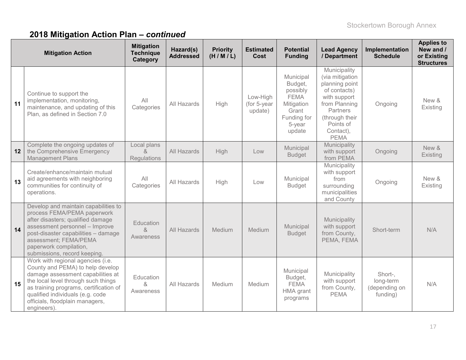|    | <b>Mitigation Action</b>                                                                                                                                                                                                                                                          | <b>Mitigation</b><br><b>Technique</b><br>Category               | Hazard(s)<br><b>Addressed</b> | <b>Priority</b><br>(H/M/L) | <b>Estimated</b><br>Cost           | <b>Potential</b><br><b>Funding</b>                                                                        | <b>Lead Agency</b><br>/ Department                                                                                                                                        | Implementation<br><b>Schedule</b>                 | <b>Applies to</b><br>New and /<br>or Existing<br><b>Structures</b> |
|----|-----------------------------------------------------------------------------------------------------------------------------------------------------------------------------------------------------------------------------------------------------------------------------------|-----------------------------------------------------------------|-------------------------------|----------------------------|------------------------------------|-----------------------------------------------------------------------------------------------------------|---------------------------------------------------------------------------------------------------------------------------------------------------------------------------|---------------------------------------------------|--------------------------------------------------------------------|
| 11 | Continue to support the<br>implementation, monitoring,<br>maintenance, and updating of this<br>Plan, as defined in Section 7.0                                                                                                                                                    | All<br>Categories                                               | All Hazards                   | High                       | Low-High<br>(for 5-year<br>update) | Municipal<br>Budget,<br>possibly<br><b>FEMA</b><br>Mitigation<br>Grant<br>Funding for<br>5-year<br>update | Municipality<br>(via mitigation<br>planning point<br>of contacts)<br>with support<br>from Planning<br>Partners<br>(through their<br>Points of<br>Contact),<br><b>PEMA</b> | Ongoing                                           | New &<br>Existing                                                  |
| 12 | Complete the ongoing updates of<br>the Comprehensive Emergency<br><b>Management Plans</b>                                                                                                                                                                                         | Local plans<br>$\mathcal{R}_{\mathbf{z}}$<br><b>Regulations</b> | All Hazards                   | High                       | Low                                | Municipal<br><b>Budget</b>                                                                                | Municipality<br>with support<br>from PEMA                                                                                                                                 | Ongoing                                           | New &<br>Existing                                                  |
| 13 | Create/enhance/maintain mutual<br>aid agreements with neighboring<br>communities for continuity of<br>operations.                                                                                                                                                                 | All<br>Categories                                               | All Hazards                   | High                       | Low                                | Municipal<br><b>Budget</b>                                                                                | Municipality<br>with support<br>from<br>surrounding<br>municipalities<br>and County                                                                                       | Ongoing                                           | New &<br>Existing                                                  |
| 14 | Develop and maintain capabilities to<br>process FEMA/PEMA paperwork<br>after disasters; qualified damage<br>assessment personnel - Improve<br>post-disaster capabilities - damage<br>assessment; FEMA/PEMA<br>paperwork compilation,<br>submissions, record keeping.              | Education<br>&<br>Awareness                                     | All Hazards                   | Medium                     | Medium                             | Municipal<br><b>Budget</b>                                                                                | Municipality<br>with support<br>from County,<br>PEMA, FEMA                                                                                                                | Short-term                                        | N/A                                                                |
| 15 | Work with regional agencies (i.e.<br>County and PEMA) to help develop<br>damage assessment capabilities at<br>the local level through such things<br>as training programs, certification of<br>qualified individuals (e.g. code<br>officials, floodplain managers,<br>engineers). | Education<br>&<br>Awareness                                     | All Hazards                   | Medium                     | Medium                             | Municipal<br>Budget,<br><b>FEMA</b><br>HMA grant<br>programs                                              | Municipality<br>with support<br>from County,<br><b>PEMA</b>                                                                                                               | Short-,<br>long-term<br>(depending on<br>funding) | N/A                                                                |